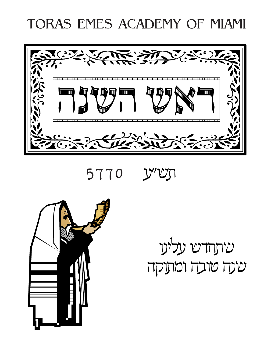# TORAS EMES ACADEMY OF MIAMI



5770 Y'UJ



שתחדש עלינו שנה טובה ומתוקה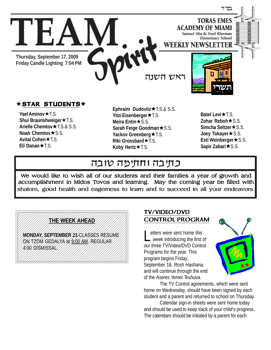

### $\star$  STAR STUDENTS $\star$

**Yael Aminov ★**T.S. **Shui Braunshweiger ★T.S. Arielle Chemtov ★ T.S.& S.S. Noah Chemtov★S.S. Avital Cohen** $★TS$ . **Eli Danan** $\star$ T.S.

**Ephraim Dudovitz ★ T.S.& S.S. Yitzi Eisenberger ★ T.S. Meira Entin**★S.S. **Sarah Feige Goodman ★ S.S.** Yackov Greenberg **\*** T.S. **Riki Grossbard** $\star$ T.S. **Koby Hertz**  $★$  **T.S.** 

Batel Levi<sup>\*</sup>T.S. **Zohar Reboh**★S.S. **Simcha Seltzer ★ S.S. Joey Tokayer★S.S. Esti Weinberger ★ S.S.** Sapir Zabari**∗**S.S.

## כתיבה וחתימה טובה

We would like to wish all of our students and their families a year of growth and accomplishment in Midos Tovos and learning. May the coming year be filled with shalom, good health and eagerness to learn and to succeed in all your endeavors.

#### 12345678901234567890123456789012345678901234567890123456789012345678901234567890123456789012345678901234567890 123456789012345678901234567890121234567890123456 123456789012345678901234567890121234567890123456 <u>1234578901245789012345678901234567890121234</u> 123456789012345678901234567890121234567890123456 123456789012345678901234567890121234567890123456 123456789012345678901234567890121234567890123456

123456789012345678901234567890121234567890123456

<u>[//MONDAY,SEPTEMBER 21-CLASSES RESUME///]</u> 123456789012345678901234567890121234567890123456 123456789012345678901234567890121234567890123456 123456789012345678901234567890121234567890123456 ON TZOM GEDALYA at 9:00 AM. REGULAR 123456789012345678901234567890121234567890123456 123456789012345678901234567890121234567890123456 123456789012345678901234567890121234567890123456 4:00 DISMISSAL.

123456789012345678901234567890121234567890123456 123456789012345678901234567890121234567890123456 123456789012345678901234567890121234567890123456 123456789012345678901234567890121234567890123456 123456789012345678901234567890121234567890123456

#### TV/VIDEO/DVD CONTROL PROGRAM

Letters were sent home this week introducing the first of our three TV/Video/DVD Control Programs for the year. This program begins Friday, September 18, *Rosh Hashana,* and will continue through the end of the *Aseres Yemei Teshuva*.



The TV Control agreements, which were sent home on Wednesday, should have been signed by each student and a parent and returned to school on Thursday.

Calendar sign-in sheets were sent home today and should be used to keep track of your child's progress. The calendars should be initialed by a parent for each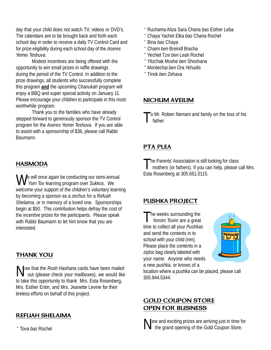day that your child does not watch TV, videos or DVD's. The calendars are to be brought back and forth each school day in order to receive a daily TV Control Card and for prize eligibility during each school day of the *Aseres Yemei Teshuva*.

Modest incentives are being offered with the opportunity to win small prizes in raffle drawings during the period of the TV Control. In addition to the prize drawings, all students who successfully complete this program **and** the upcoming *Chanukah* program will enjoy a BBQ and super special activity on January 11. Please encourage your children to participate in this most worthwhile program.

Thank you to the families who have already stepped forward to generously sponsor the TV Control program for the *Aseres Yemei Teshuva.* If you are able to assist with a sponsorship of \$36, please call Rabbi Baumann.

#### HASMODA

We will once again be conducting our semi-annual  *Yom Tov* learning program over *Sukkos*. We welcome your support of the children's voluntary learning by becoming a sponsor as a *zechus* for a *Refuah Shelaima*, or in memory of a loved one. Sponsorships begin at \$50. This contribution helps defray the cost of the incentive prizes for the participants. Please speak with Rabbi Baumann to let him know that you are interested.

#### THANK YOU

Now that the *Rosh Hashana* cards have been mailed<br>out (please check your mailboxes), we would like to take this opportunity to thank Mrs. Esta Rosenberg, Mrs. Esther Entin, and Mrs. Jeanette Levine for their tireless efforts on behalf of this project.

#### REFUAH SHELAIMA

¨ Tova *bas* Rochel

- ¨ Ruchama Aliza Sara Chana *bas* Esther Leba
- ¨ Chaya Yachet Elka *bas* Chana Rochel
- ¨ Bina *bas* Chaya
- ¨ Chaim *ben* Breindl Bracha
- ¨ Yechiel Tzvi *ben* Leah Rochel
- ¨ Yitzchak Moshe *ben* Shoshana
- ¨Mordechai *ben* Ora Yehudis
- ¨ Tinok *ben* Zehava

#### NICHUM AVEILIM

o Mr. Roben Nemani and family on the loss of his father.

#### PTA PLEA

The Parents' Association is still looking for class<br>mothers (or fathers). If you can help, please call Mrs. Esta Rosenberg at 305.651.0115.

#### PUSHKA PROJECT

The weeks surrounding the *Yomim Tovim* are a great time to collect all your *Pushkas* and send the contents in to school with your child (ren). Please place the contents in a ziploc bag clearly labeled with your name. Anyone who needs a new *pushka*, or knows of a



location where a *pushka* can be placed, please call 305.944.5344.

#### GOLD COUPON STORE OPEN FOR BUSINESS

New and exciting prizes are arriving just in time for the grand opening of the Gold Coupon Store.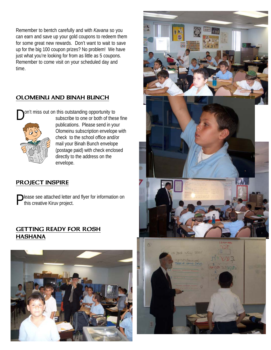Remember to bentch carefully and with *Kavana* so you can earn and save up your gold coupons to redeem them for some great new rewards. Don't want to wait to save up for the big 100 coupon prizes? No problem! We have just what you're looking for from as little as 5 coupons. Remember to come visit on your scheduled day and time.

#### OLOMEINU AND BINAH BUNCH

on't miss out on this outstanding opportunity to



subscribe to one or both of these fine publications. Please send in your Olomeinu subscription envelope with check to the school office and/or mail your Binah Bunch envelope (postage paid) with check enclosed directly to the address on the envelope.

#### PROJECT INSPIRE

**Please see attached letter and flyer for information on** this creative Kiruv project.

#### GETTING READY FOR ROSH HASHANA